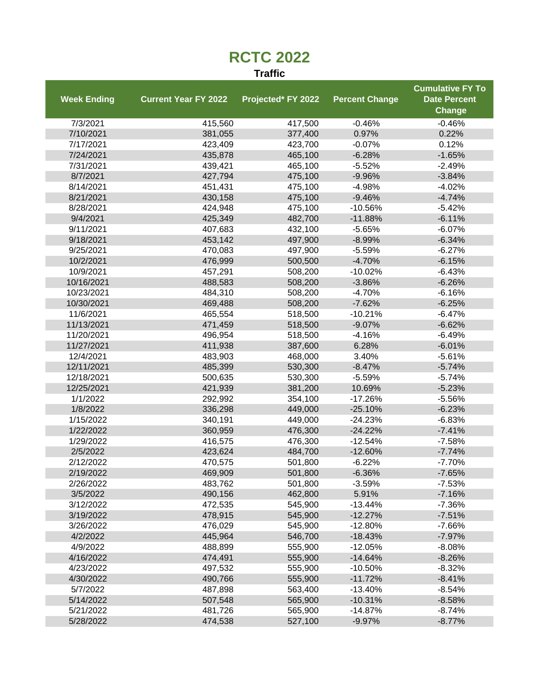## **RCTC 2022**

## **Traffic**

|                    |                             |                    |                       | <b>Cumulative FY To</b>              |
|--------------------|-----------------------------|--------------------|-----------------------|--------------------------------------|
| <b>Week Ending</b> | <b>Current Year FY 2022</b> | Projected* FY 2022 | <b>Percent Change</b> | <b>Date Percent</b><br><b>Change</b> |
| 7/3/2021           | 415,560                     | 417,500            | $-0.46%$              | $-0.46%$                             |
| 7/10/2021          | 381,055                     | 377,400            | 0.97%                 | 0.22%                                |
| 7/17/2021          | 423,409                     | 423,700            | $-0.07%$              | 0.12%                                |
| 7/24/2021          | 435,878                     | 465,100            | $-6.28%$              | $-1.65%$                             |
| 7/31/2021          | 439,421                     | 465,100            | $-5.52%$              | $-2.49%$                             |
| 8/7/2021           | 427,794                     | 475,100            | $-9.96%$              | $-3.84%$                             |
| 8/14/2021          | 451,431                     | 475,100            | $-4.98%$              | $-4.02%$                             |
| 8/21/2021          | 430,158                     | 475,100            | $-9.46%$              | $-4.74%$                             |
| 8/28/2021          | 424,948                     | 475,100            | $-10.56%$             | $-5.42%$                             |
| 9/4/2021           | 425,349                     | 482,700            | $-11.88%$             | $-6.11%$                             |
| 9/11/2021          | 407,683                     | 432,100            | $-5.65%$              | $-6.07%$                             |
| 9/18/2021          | 453,142                     | 497,900            | $-8.99%$              | $-6.34%$                             |
| 9/25/2021          | 470,083                     | 497,900            | $-5.59%$              | $-6.27%$                             |
| 10/2/2021          | 476,999                     | 500,500            | $-4.70%$              | $-6.15%$                             |
| 10/9/2021          | 457,291                     | 508,200            | $-10.02%$             | $-6.43%$                             |
| 10/16/2021         | 488,583                     | 508,200            | $-3.86%$              | $-6.26%$                             |
| 10/23/2021         | 484,310                     | 508,200            | $-4.70%$              | $-6.16%$                             |
| 10/30/2021         | 469,488                     | 508,200            | $-7.62%$              | $-6.25%$                             |
| 11/6/2021          | 465,554                     | 518,500            | $-10.21%$             | $-6.47%$                             |
| 11/13/2021         | 471,459                     | 518,500            | $-9.07%$              | $-6.62%$                             |
| 11/20/2021         | 496,954                     | 518,500            | $-4.16%$              | $-6.49%$                             |
| 11/27/2021         | 411,938                     | 387,600            | 6.28%                 | $-6.01%$                             |
| 12/4/2021          | 483,903                     | 468,000            | 3.40%                 | $-5.61%$                             |
| 12/11/2021         | 485,399                     | 530,300            | $-8.47%$              | $-5.74%$                             |
| 12/18/2021         | 500,635                     | 530,300            | $-5.59%$              | $-5.74%$                             |
| 12/25/2021         | 421,939                     | 381,200            | 10.69%                | $-5.23%$                             |
| 1/1/2022           | 292,992                     | 354,100            | $-17.26%$             | $-5.56%$                             |
| 1/8/2022           | 336,298                     | 449,000            | $-25.10%$             | $-6.23%$                             |
| 1/15/2022          | 340,191                     | 449,000            | $-24.23%$             | $-6.83%$                             |
| 1/22/2022          | 360,959                     | 476,300            | $-24.22%$             | $-7.41%$                             |
| 1/29/2022          | 416,575                     | 476,300            | $-12.54%$             | $-7.58%$                             |
| 2/5/2022           | 423,624                     | 484,700            | $-12.60%$             | $-7.74%$                             |
| 2/12/2022          | 470,575                     | 501,800            | $-6.22%$              | $-7.70%$                             |
| 2/19/2022          | 469,909                     | 501,800            | $-6.36%$              | $-7.65%$                             |
| 2/26/2022          | 483,762                     | 501,800            | $-3.59%$              | $-7.53%$                             |
| 3/5/2022           | 490,156                     | 462,800            | 5.91%                 | $-7.16%$                             |
| 3/12/2022          | 472,535                     | 545,900            | $-13.44%$             | $-7.36%$                             |
| 3/19/2022          | 478,915                     | 545,900            | $-12.27%$             | $-7.51%$                             |
| 3/26/2022          | 476,029                     | 545,900            | $-12.80%$             | $-7.66%$                             |
| 4/2/2022           | 445,964                     | 546,700            | $-18.43%$             | $-7.97%$                             |
| 4/9/2022           | 488,899                     | 555,900            | $-12.05%$             | $-8.08%$                             |
| 4/16/2022          | 474,491                     | 555,900            | $-14.64%$             | $-8.26%$                             |
| 4/23/2022          | 497,532                     | 555,900            | $-10.50%$             | $-8.32%$                             |
| 4/30/2022          | 490,766                     | 555,900            | $-11.72%$             | $-8.41%$                             |
| 5/7/2022           | 487,898                     | 563,400            | $-13.40%$             | $-8.54%$                             |
| 5/14/2022          | 507,548                     | 565,900            | $-10.31%$             | $-8.58%$                             |
| 5/21/2022          | 481,726                     | 565,900            | $-14.87%$             | $-8.74%$                             |
| 5/28/2022          | 474,538                     | 527,100            | $-9.97%$              | $-8.77%$                             |